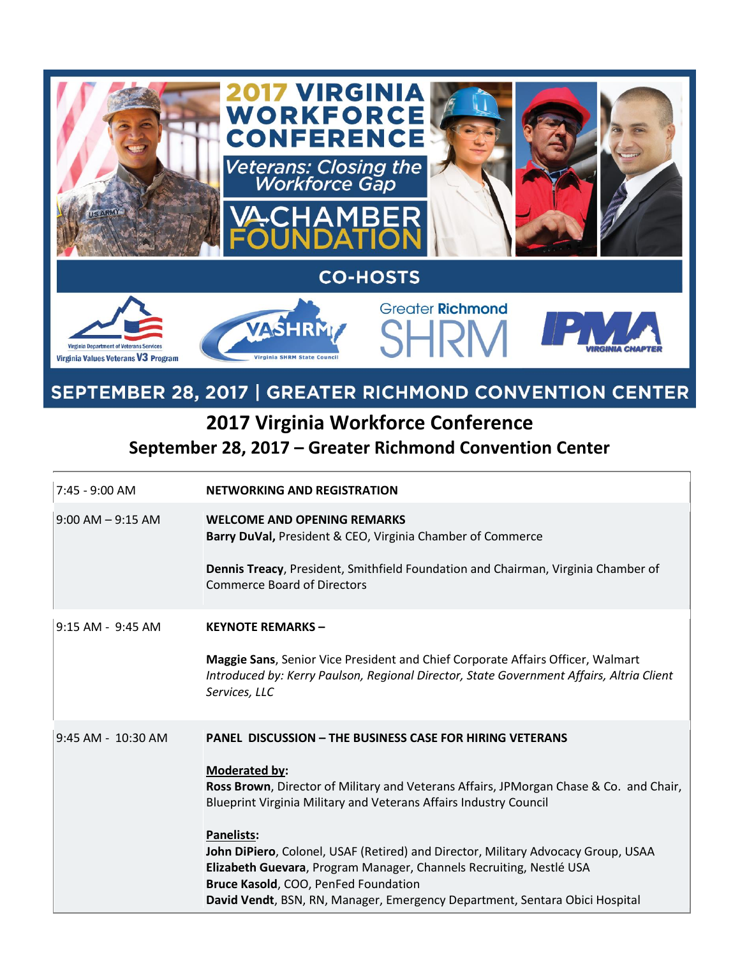

## SEPTEMBER 28, 2017 | GREATER RICHMOND CONVENTION CENTER

## **2017 Virginia Workforce Conference September 28, 2017 – Greater Richmond Convention Center**

| $7:45 - 9:00$ AM     | <b>NETWORKING AND REGISTRATION</b>                                                                                                                                                           |
|----------------------|----------------------------------------------------------------------------------------------------------------------------------------------------------------------------------------------|
| $9:00$ AM $-9:15$ AM | <b>WELCOME AND OPENING REMARKS</b><br>Barry DuVal, President & CEO, Virginia Chamber of Commerce                                                                                             |
|                      | Dennis Treacy, President, Smithfield Foundation and Chairman, Virginia Chamber of<br><b>Commerce Board of Directors</b>                                                                      |
| 9:15 AM - 9:45 AM    | <b>KEYNOTE REMARKS -</b>                                                                                                                                                                     |
|                      | Maggie Sans, Senior Vice President and Chief Corporate Affairs Officer, Walmart<br>Introduced by: Kerry Paulson, Regional Director, State Government Affairs, Altria Client<br>Services, LLC |
| 9:45 AM - 10:30 AM   | <b>PANEL DISCUSSION - THE BUSINESS CASE FOR HIRING VETERANS</b>                                                                                                                              |
|                      | <b>Moderated by:</b>                                                                                                                                                                         |
|                      | Ross Brown, Director of Military and Veterans Affairs, JPMorgan Chase & Co. and Chair,<br>Blueprint Virginia Military and Veterans Affairs Industry Council                                  |
|                      | <b>Panelists:</b>                                                                                                                                                                            |
|                      | John DiPiero, Colonel, USAF (Retired) and Director, Military Advocacy Group, USAA<br>Elizabeth Guevara, Program Manager, Channels Recruiting, Nestlé USA                                     |
|                      | Bruce Kasold, COO, PenFed Foundation                                                                                                                                                         |
|                      | David Vendt, BSN, RN, Manager, Emergency Department, Sentara Obici Hospital                                                                                                                  |